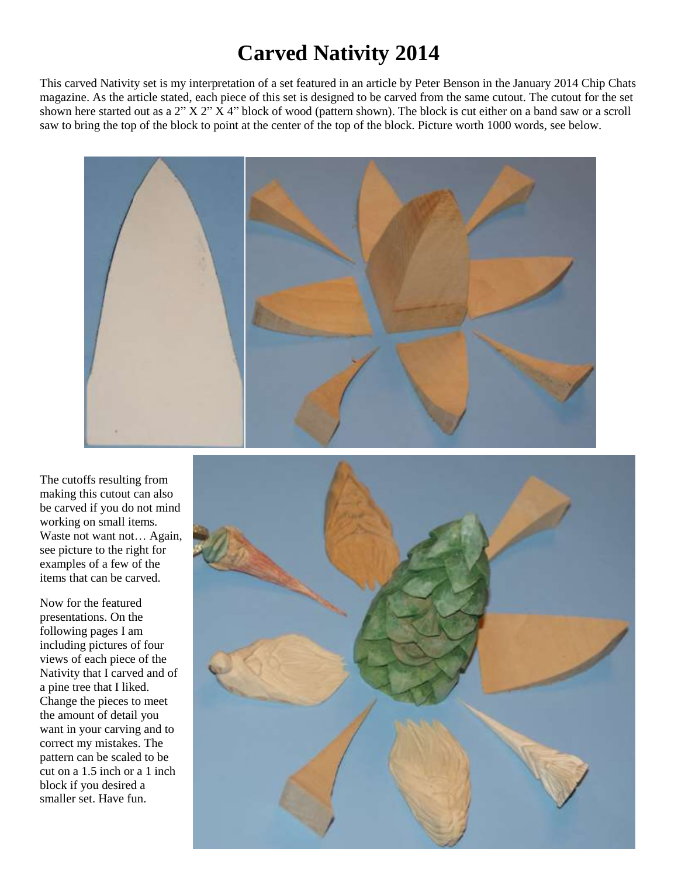## **Carved Nativity 2014**

This carved Nativity set is my interpretation of a set featured in an article by Peter Benson in the January 2014 Chip Chats magazine. As the article stated, each piece of this set is designed to be carved from the same cutout. The cutout for the set shown here started out as a  $2" X 2" X 4"$  block of wood (pattern shown). The block is cut either on a band saw or a scroll saw to bring the top of the block to point at the center of the top of the block. Picture worth 1000 words, see below.



The cutoffs resulting from making this cutout can also be carved if you do not mind working on small items. Waste not want not… Again, see picture to the right for examples of a few of the items that can be carved.

Now for the featured presentations. On the following pages I am including pictures of four views of each piece of the Nativity that I carved and of a pine tree that I liked. Change the pieces to meet the amount of detail you want in your carving and to correct my mistakes. The pattern can be scaled to be cut on a 1.5 inch or a 1 inch block if you desired a smaller set. Have fun.

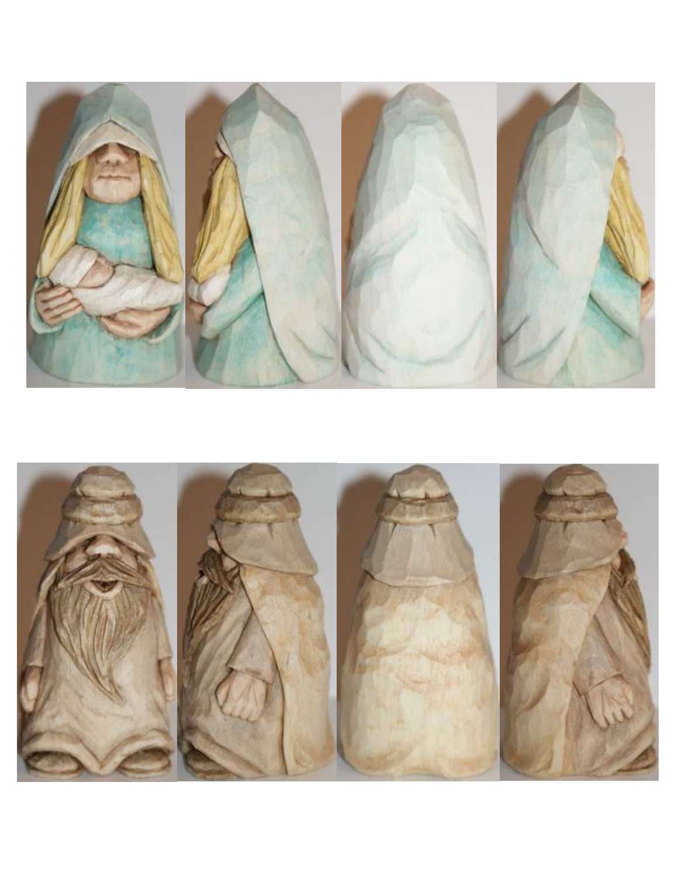

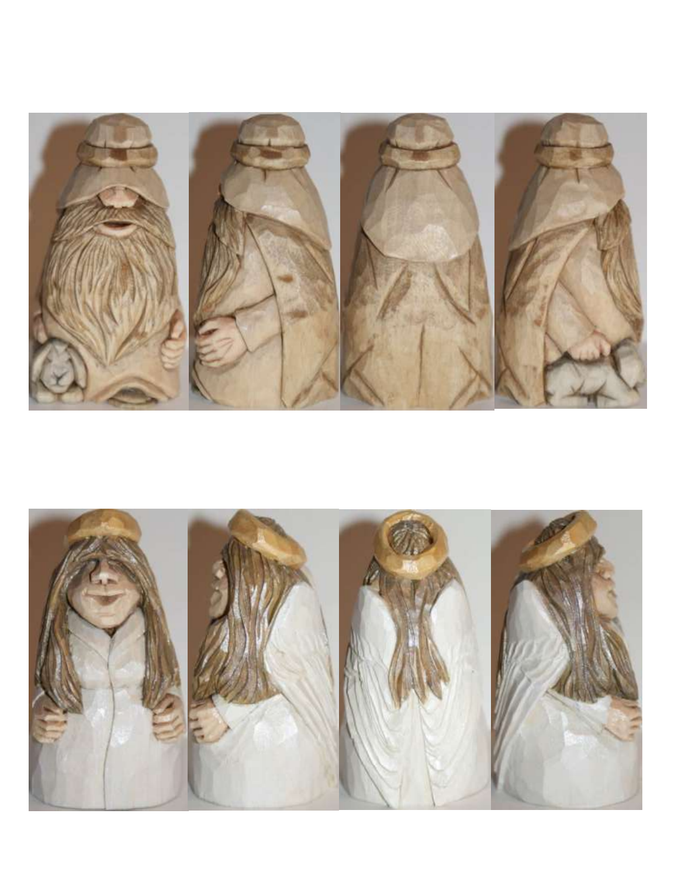

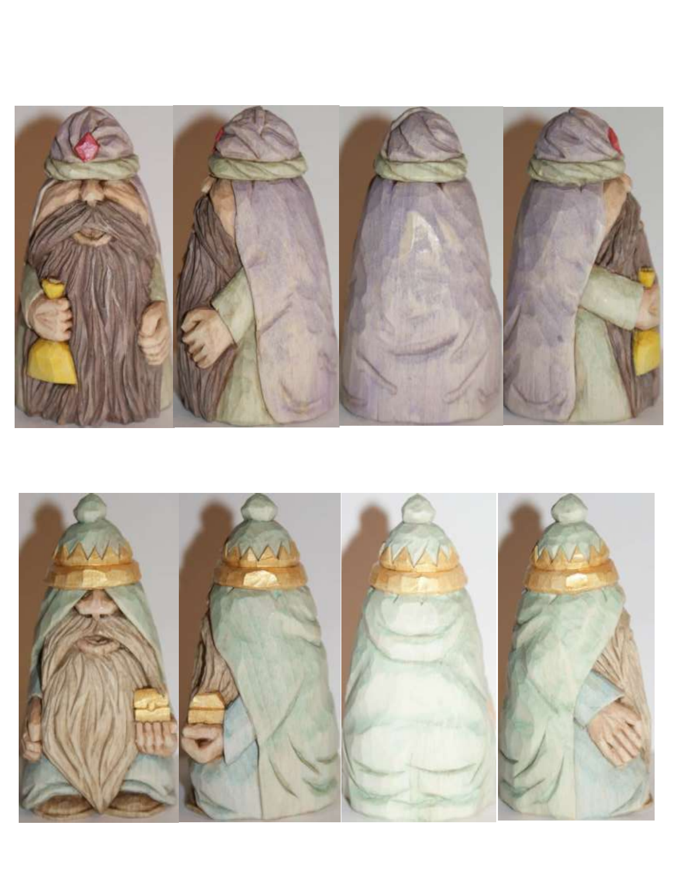